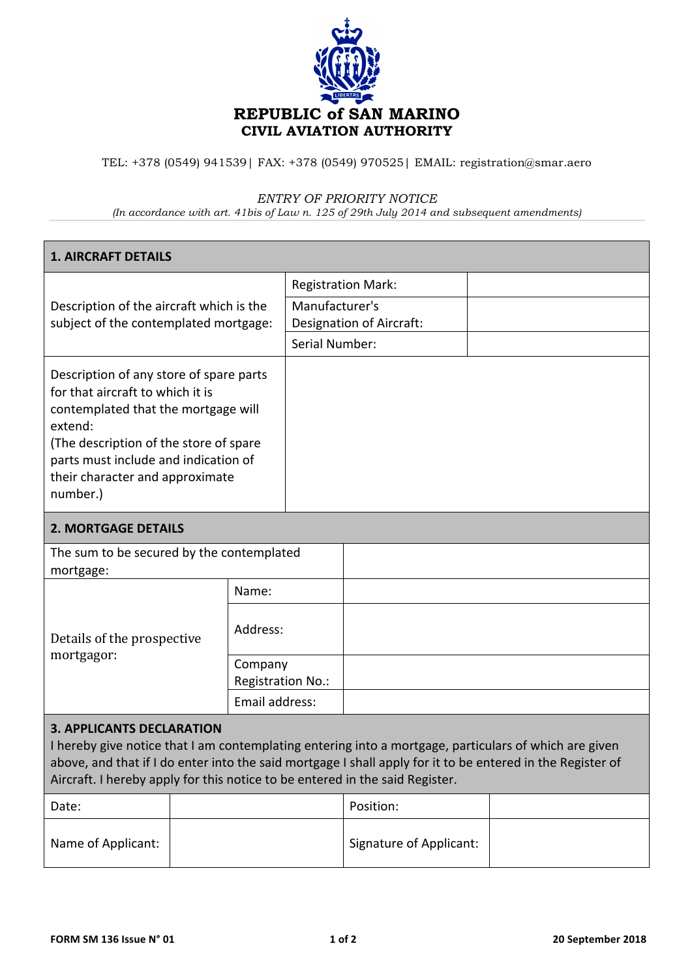

TEL: +378 (0549) 941539| FAX: +378 (0549) 970525| EMAIL: registration@smar.aero

## *ENTRY OF PRIORITY NOTICE*

*(In accordance with art. 41bis of Law n. 125 of 29th July 2014 and subsequent amendments)*

| <b>1. AIRCRAFT DETAILS</b>                                                                                                                                                                                                                                                                                                              |  |                              |                                                                                                         |           |  |  |  |  |
|-----------------------------------------------------------------------------------------------------------------------------------------------------------------------------------------------------------------------------------------------------------------------------------------------------------------------------------------|--|------------------------------|---------------------------------------------------------------------------------------------------------|-----------|--|--|--|--|
| Description of the aircraft which is the<br>subject of the contemplated mortgage:                                                                                                                                                                                                                                                       |  |                              | <b>Registration Mark:</b><br>Manufacturer's<br><b>Designation of Aircraft:</b><br><b>Serial Number:</b> |           |  |  |  |  |
| Description of any store of spare parts<br>for that aircraft to which it is<br>contemplated that the mortgage will<br>extend:<br>(The description of the store of spare<br>parts must include and indication of<br>their character and approximate<br>number.)                                                                          |  |                              |                                                                                                         |           |  |  |  |  |
| <b>2. MORTGAGE DETAILS</b>                                                                                                                                                                                                                                                                                                              |  |                              |                                                                                                         |           |  |  |  |  |
| The sum to be secured by the contemplated<br>mortgage:                                                                                                                                                                                                                                                                                  |  |                              |                                                                                                         |           |  |  |  |  |
| Details of the prospective<br>mortgagor:                                                                                                                                                                                                                                                                                                |  | Name:                        |                                                                                                         |           |  |  |  |  |
|                                                                                                                                                                                                                                                                                                                                         |  | Address:                     |                                                                                                         |           |  |  |  |  |
|                                                                                                                                                                                                                                                                                                                                         |  | Company<br>Registration No.: |                                                                                                         |           |  |  |  |  |
|                                                                                                                                                                                                                                                                                                                                         |  | Email address:               |                                                                                                         |           |  |  |  |  |
| <b>3. APPLICANTS DECLARATION</b><br>I hereby give notice that I am contemplating entering into a mortgage, particulars of which are given<br>above, and that if I do enter into the said mortgage I shall apply for it to be entered in the Register of<br>Aircraft. I hereby apply for this notice to be entered in the said Register. |  |                              |                                                                                                         |           |  |  |  |  |
| Date:                                                                                                                                                                                                                                                                                                                                   |  |                              |                                                                                                         | Position: |  |  |  |  |
|                                                                                                                                                                                                                                                                                                                                         |  |                              |                                                                                                         |           |  |  |  |  |

Name of Applicant:  $\begin{vmatrix} \frac{1}{2} & \frac{1}{2} \\ \frac{1}{2} & \frac{1}{2} \end{vmatrix}$  Signature of Applicant: